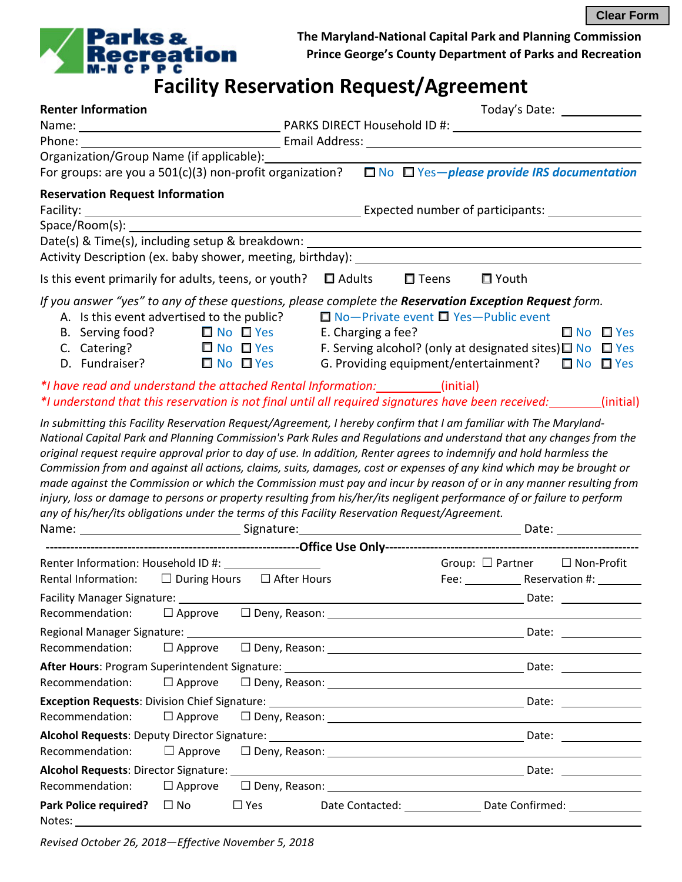**Clear Form**



**The Maryland-National Capital Park and Planning Commission Prince George's County Department of Parks and Recreation**

## **Example 3 Accepted Accepted Accepted Accepted Accepted Accepted Accepted Accepted Accepted Accepted Accepted**<br> **Facility Reservation Request/Agreement**

| <b>Renter Information</b>                                                                                                                                                                                                      |                |                                                  |                    |  |                 |                                                                     |  |  |                      |
|--------------------------------------------------------------------------------------------------------------------------------------------------------------------------------------------------------------------------------|----------------|--------------------------------------------------|--------------------|--|-----------------|---------------------------------------------------------------------|--|--|----------------------|
|                                                                                                                                                                                                                                |                |                                                  |                    |  |                 |                                                                     |  |  |                      |
|                                                                                                                                                                                                                                |                |                                                  |                    |  |                 |                                                                     |  |  |                      |
|                                                                                                                                                                                                                                |                |                                                  |                    |  |                 |                                                                     |  |  |                      |
|                                                                                                                                                                                                                                |                |                                                  |                    |  |                 |                                                                     |  |  |                      |
| <b>Reservation Request Information</b>                                                                                                                                                                                         |                |                                                  |                    |  |                 |                                                                     |  |  |                      |
| Facility: <u>Analysis and the set of participants:</u> Expected number of participants:                                                                                                                                        |                |                                                  |                    |  |                 |                                                                     |  |  |                      |
| Space/Room(s):                                                                                                                                                                                                                 |                |                                                  |                    |  |                 |                                                                     |  |  |                      |
| Date(s) & Time(s), including setup & breakdown: _________________________________                                                                                                                                              |                |                                                  |                    |  |                 |                                                                     |  |  |                      |
|                                                                                                                                                                                                                                |                |                                                  |                    |  |                 |                                                                     |  |  |                      |
| Is this event primarily for adults, teens, or youth? $\Box$ Adults                                                                                                                                                             |                |                                                  |                    |  | $\square$ Teens | $\Box$ Youth                                                        |  |  |                      |
| If you answer "yes" to any of these questions, please complete the <b>Reservation Exception Request</b> form.                                                                                                                  |                |                                                  |                    |  |                 |                                                                     |  |  |                      |
| A. Is this event advertised to the public?                                                                                                                                                                                     |                |                                                  |                    |  |                 | $\Box$ No-Private event $\Box$ Yes-Public event                     |  |  |                      |
| B. Serving food? $\Box$ No $\Box$ Yes                                                                                                                                                                                          |                |                                                  | E. Charging a fee? |  |                 |                                                                     |  |  | $\Box$ No $\Box$ Yes |
| C. Catering? $\Box$ No $\Box$ Yes                                                                                                                                                                                              |                |                                                  |                    |  |                 | F. Serving alcohol? (only at designated sites) $\Box$ No $\Box$ Yes |  |  |                      |
| D. Fundraiser?                                                                                                                                                                                                                 |                | $\Box$ No $\Box$ Yes                             |                    |  |                 | G. Providing equipment/entertainment? $\Box$ No $\Box$ Yes          |  |  |                      |
| *I have read and understand the attached Rental Information: __________(initial)                                                                                                                                               |                |                                                  |                    |  |                 |                                                                     |  |  |                      |
| *I understand that this reservation is not final until all required signatures have been received:                                                                                                                             |                |                                                  |                    |  |                 |                                                                     |  |  | (initial)            |
| In submitting this Facility Reservation Request/Agreement, I hereby confirm that I am familiar with The Maryland-                                                                                                              |                |                                                  |                    |  |                 |                                                                     |  |  |                      |
| National Capital Park and Planning Commission's Park Rules and Regulations and understand that any changes from the                                                                                                            |                |                                                  |                    |  |                 |                                                                     |  |  |                      |
| original request require approval prior to day of use. In addition, Renter agrees to indemnify and hold harmless the                                                                                                           |                |                                                  |                    |  |                 |                                                                     |  |  |                      |
| Commission from and against all actions, claims, suits, damages, cost or expenses of any kind which may be brought or                                                                                                          |                |                                                  |                    |  |                 |                                                                     |  |  |                      |
| made against the Commission or which the Commission must pay and incur by reason of or in any manner resulting from                                                                                                            |                |                                                  |                    |  |                 |                                                                     |  |  |                      |
| injury, loss or damage to persons or property resulting from his/her/its negligent performance of or failure to perform                                                                                                        |                |                                                  |                    |  |                 |                                                                     |  |  |                      |
| any of his/her/its obligations under the terms of this Facility Reservation Request/Agreement.                                                                                                                                 |                |                                                  |                    |  |                 |                                                                     |  |  |                      |
|                                                                                                                                                                                                                                |                |                                                  |                    |  |                 |                                                                     |  |  |                      |
|                                                                                                                                                                                                                                |                |                                                  |                    |  |                 |                                                                     |  |  |                      |
| Renter Information: Household ID #: __________________                                                                                                                                                                         |                |                                                  |                    |  |                 | Group: $\Box$ Partner $\Box$ Non-Profit                             |  |  |                      |
| Rental Information: $\square$ During Hours $\square$ After Hours                                                                                                                                                               |                |                                                  |                    |  |                 | Fee: Reservation #: 1990                                            |  |  |                      |
|                                                                                                                                                                                                                                |                |                                                  |                    |  |                 |                                                                     |  |  |                      |
| Recommendation:                                                                                                                                                                                                                | $\Box$ Approve |                                                  |                    |  |                 |                                                                     |  |  |                      |
|                                                                                                                                                                                                                                |                |                                                  |                    |  |                 |                                                                     |  |  |                      |
| Recommendation:                                                                                                                                                                                                                | $\Box$ Approve | $\square$ Deny, Reason: $\overline{\phantom{a}}$ |                    |  |                 |                                                                     |  |  |                      |
|                                                                                                                                                                                                                                |                |                                                  |                    |  |                 |                                                                     |  |  |                      |
| Recommendation:                                                                                                                                                                                                                | $\Box$ Approve |                                                  |                    |  |                 |                                                                     |  |  |                      |
| Exception Requests: Division Chief Signature: Manual Chief Content Content Content Chief Content Chief Chief Chief Chief Chief Chief Chief Chief Chief Chief Chief Chief Chief Chief Chief Chief Chief Chief Chief Chief Chief |                |                                                  |                    |  |                 |                                                                     |  |  |                      |
| Recommendation:                                                                                                                                                                                                                | $\Box$ Approve |                                                  |                    |  |                 |                                                                     |  |  |                      |
| Alcohol Requests: Deputy Director Signature: Manual Communication and Date: Manual Communication and Date: Manu                                                                                                                |                |                                                  |                    |  |                 |                                                                     |  |  |                      |
| Recommendation:                                                                                                                                                                                                                | $\Box$ Approve | $\square$ Deny, Reason: $\square$                |                    |  |                 |                                                                     |  |  |                      |
|                                                                                                                                                                                                                                |                |                                                  |                    |  |                 |                                                                     |  |  |                      |
| Recommendation:                                                                                                                                                                                                                | $\Box$ Approve | $\square$ Deny, Reason: $\square$                |                    |  |                 |                                                                     |  |  |                      |
| <b>Park Police required?</b>                                                                                                                                                                                                   | $\Box$ No      | $\square$ Yes                                    |                    |  |                 |                                                                     |  |  |                      |
| Notes:                                                                                                                                                                                                                         |                |                                                  |                    |  |                 |                                                                     |  |  |                      |

*Revised October 26, 2018—Effective November 5, 2018*